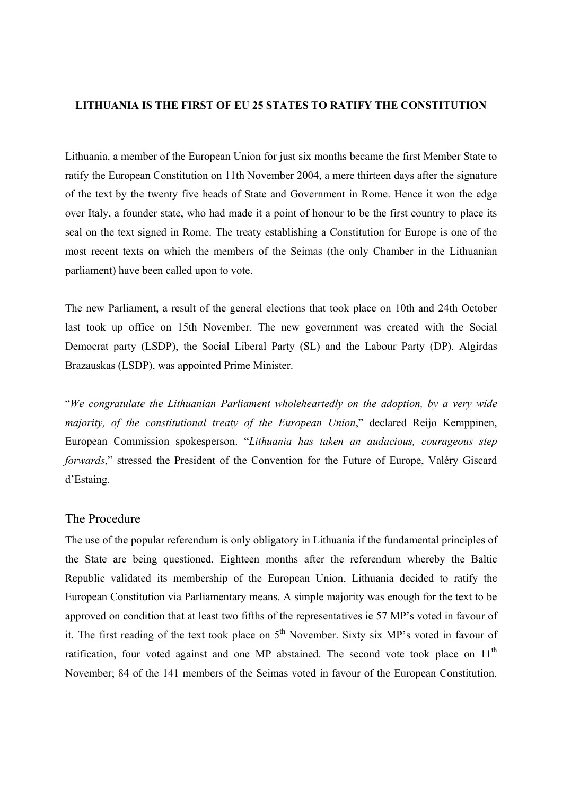## **LITHUANIA IS THE FIRST OF EU 25 STATES TO RATIFY THE CONSTITUTION**

Lithuania, a member of the European Union for just six months became the first Member State to ratify the European Constitution on 11th November 2004, a mere thirteen days after the signature of the text by the twenty five heads of State and Government in Rome. Hence it won the edge over Italy, a founder state, who had made it a point of honour to be the first country to place its seal on the text signed in Rome. The treaty establishing a Constitution for Europe is one of the most recent texts on which the members of the Seimas (the only Chamber in the Lithuanian parliament) have been called upon to vote.

The new Parliament, a result of the general elections that took place on 10th and 24th October last took up office on 15th November. The new government was created with the Social Democrat party (LSDP), the Social Liberal Party (SL) and the Labour Party (DP). Algirdas Brazauskas (LSDP), was appointed Prime Minister.

"*We congratulate the Lithuanian Parliament wholeheartedly on the adoption, by a very wide majority, of the constitutional treaty of the European Union*," declared Reijo Kemppinen, European Commission spokesperson. "*Lithuania has taken an audacious, courageous step forwards*," stressed the President of the Convention for the Future of Europe, Valéry Giscard d'Estaing.

## The Procedure

The use of the popular referendum is only obligatory in Lithuania if the fundamental principles of the State are being questioned. Eighteen months after the referendum whereby the Baltic Republic validated its membership of the European Union, Lithuania decided to ratify the European Constitution via Parliamentary means. A simple majority was enough for the text to be approved on condition that at least two fifths of the representatives ie 57 MP's voted in favour of it. The first reading of the text took place on  $5<sup>th</sup>$  November. Sixty six MP's voted in favour of ratification, four voted against and one MP abstained. The second vote took place on  $11<sup>th</sup>$ November; 84 of the 141 members of the Seimas voted in favour of the European Constitution,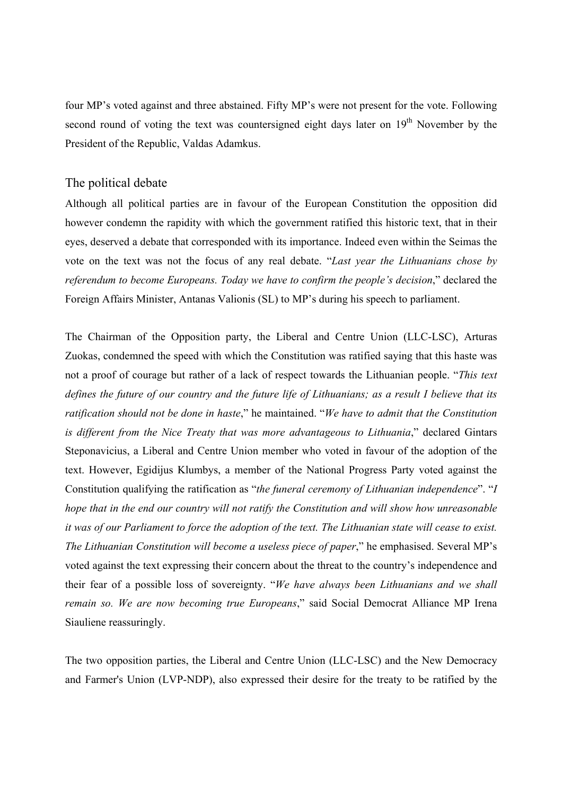four MP's voted against and three abstained. Fifty MP's were not present for the vote. Following second round of voting the text was countersigned eight days later on 19<sup>th</sup> November by the President of the Republic, Valdas Adamkus.

## The political debate

Although all political parties are in favour of the European Constitution the opposition did however condemn the rapidity with which the government ratified this historic text, that in their eyes, deserved a debate that corresponded with its importance. Indeed even within the Seimas the vote on the text was not the focus of any real debate. "*Last year the Lithuanians chose by referendum to become Europeans. Today we have to confirm the people's decision*," declared the Foreign Affairs Minister, Antanas Valionis (SL) to MP's during his speech to parliament.

The Chairman of the Opposition party, the Liberal and Centre Union (LLC-LSC), Arturas Zuokas, condemned the speed with which the Constitution was ratified saying that this haste was not a proof of courage but rather of a lack of respect towards the Lithuanian people. "*This text defines the future of our country and the future life of Lithuanians; as a result I believe that its ratification should not be done in haste*," he maintained. "*We have to admit that the Constitution is different from the Nice Treaty that was more advantageous to Lithuania*," declared Gintars Steponavicius, a Liberal and Centre Union member who voted in favour of the adoption of the text. However, Egidijus Klumbys, a member of the National Progress Party voted against the Constitution qualifying the ratification as "*the funeral ceremony of Lithuanian independence*". "*I hope that in the end our country will not ratify the Constitution and will show how unreasonable it was of our Parliament to force the adoption of the text. The Lithuanian state will cease to exist. The Lithuanian Constitution will become a useless piece of paper*," he emphasised. Several MP's voted against the text expressing their concern about the threat to the country's independence and their fear of a possible loss of sovereignty. "*We have always been Lithuanians and we shall remain so. We are now becoming true Europeans*," said Social Democrat Alliance MP Irena Siauliene reassuringly.

The two opposition parties, the Liberal and Centre Union (LLC-LSC) and the New Democracy and Farmer's Union (LVP-NDP), also expressed their desire for the treaty to be ratified by the